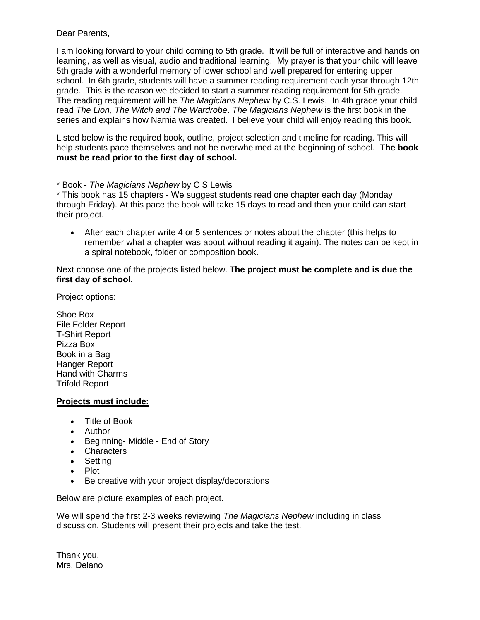Dear Parents,

I am looking forward to your child coming to 5th grade. It will be full of interactive and hands on learning, as well as visual, audio and traditional learning. My prayer is that your child will leave 5th grade with a wonderful memory of lower school and well prepared for entering upper school. In 6th grade, students will have a summer reading requirement each year through 12th grade. This is the reason we decided to start a summer reading requirement for 5th grade. The reading requirement will be *The Magicians Nephew* by C.S. Lewis. In 4th grade your child read *The Lion, The Witch and The Wardrobe*. *The Magicians Nephew* is the first book in the series and explains how Narnia was created. I believe your child will enjoy reading this book.

Listed below is the required book, outline, project selection and timeline for reading. This will help students pace themselves and not be overwhelmed at the beginning of school. **The book must be read prior to the first day of school.** 

\* Book - *The Magicians Nephew* by C S Lewis

\* This book has 15 chapters - We suggest students read one chapter each day (Monday through Friday). At this pace the book will take 15 days to read and then your child can start their project.

• After each chapter write 4 or 5 sentences or notes about the chapter (this helps to remember what a chapter was about without reading it again). The notes can be kept in a spiral notebook, folder or composition book.

Next choose one of the projects listed below. **The project must be complete and is due the first day of school.** 

Project options:

Shoe Box File Folder Report T-Shirt Report Pizza Box Book in a Bag Hanger Report Hand with Charms Trifold Report

## **Projects must include:**

- Title of Book
- Author
- Beginning- Middle End of Story
- Characters
- Setting
- Plot
- Be creative with your project display/decorations

Below are picture examples of each project.

We will spend the first 2-3 weeks reviewing *The Magicians Nephew* including in class discussion. Students will present their projects and take the test.

Thank you, Mrs. Delano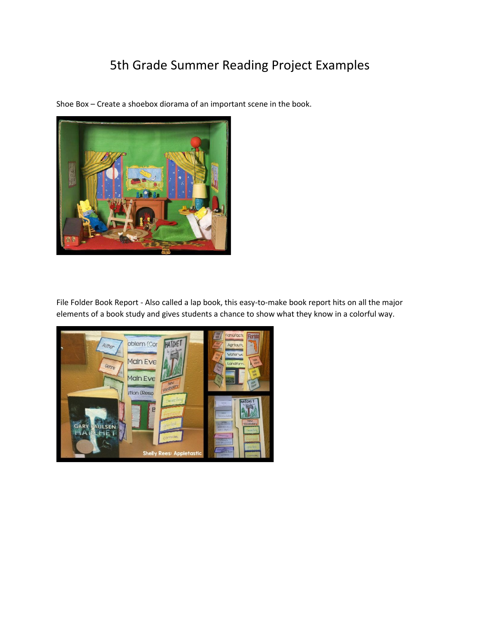## 5th Grade Summer Reading Project Examples

Shoe Box – Create a shoebox diorama of an important scene in the book.



File Folder Book Report - Also called a lap book, this easy-to-make book report hits on all the major elements of a book study and gives students a chance to show what they know in a colorful way.

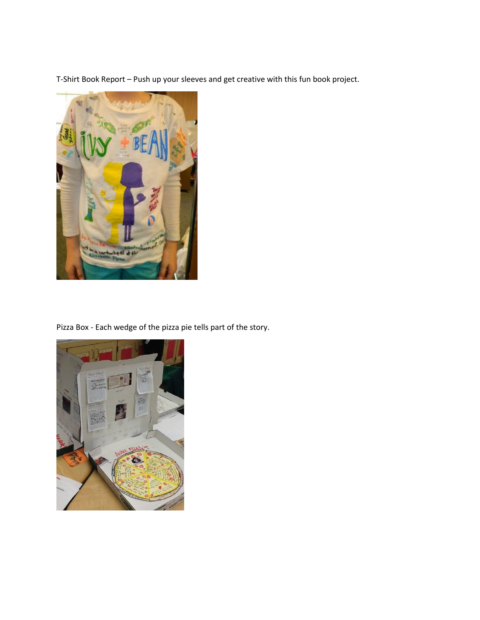T-Shirt Book Report – Push up your sleeves and get creative with this fun book project.



Pizza Box - Each wedge of the pizza pie tells part of the story.

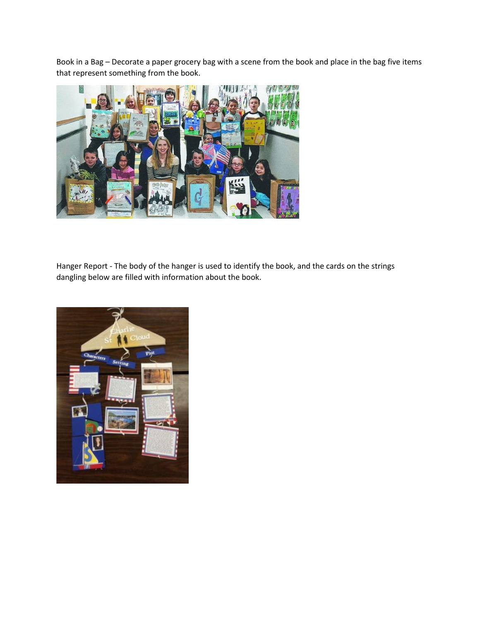Book in a Bag – Decorate a paper grocery bag with a scene from the book and place in the bag five items that represent something from the book.



Hanger Report - The body of the hanger is used to identify the book, and the cards on the strings dangling below are filled with information about the book.